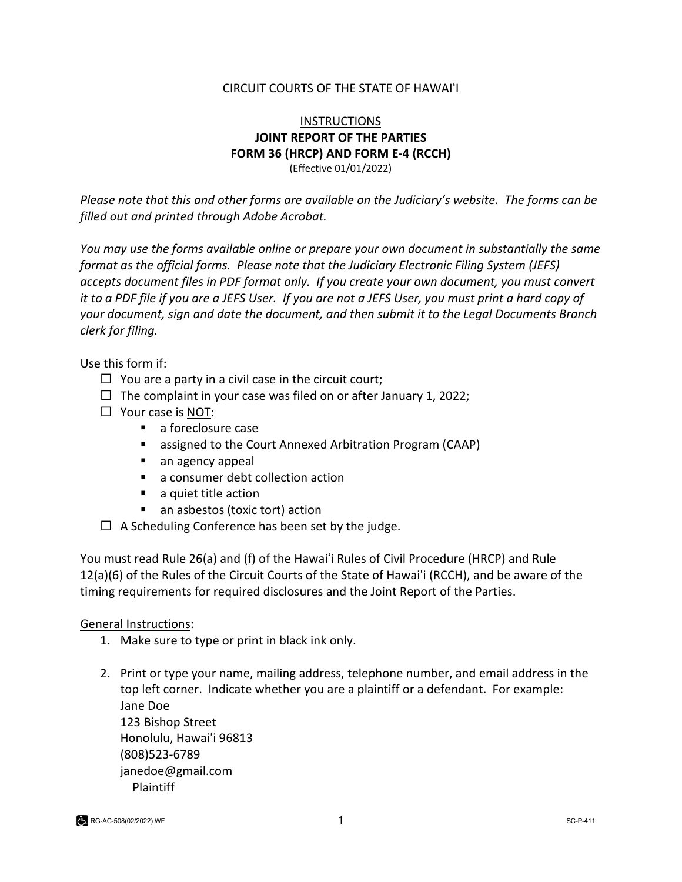#### CIRCUIT COURTS OF THE STATE OF HAWAIʻI

#### INSTRUCTIONS **JOINT REPORT OF THE PARTIES FORM 36 (HRCP) AND FORM E-4 (RCCH)** (Effective 01/01/2022)

*Please note that this and other forms are available on the Judiciary's website. The forms can be filled out and printed through Adobe Acrobat.* 

*You may use the forms available online or prepare your own document in substantially the same format as the official forms. Please note that the Judiciary Electronic Filing System (JEFS) accepts document files in PDF format only. If you create your own document, you must convert it to a PDF file if you are a JEFS User. If you are not a JEFS User, you must print a hard copy of your document, sign and date the document, and then submit it to the Legal Documents Branch clerk for filing.* 

Use this form if:

- $\Box$  You are a party in a civil case in the circuit court;
- $\Box$  The complaint in your case was filed on or after January 1, 2022;
- $\Box$  Your case is NOT:
	- **a** foreclosure case
	- assigned to the Court Annexed Arbitration Program (CAAP)
	- an agency appeal
	- a consumer debt collection action
	- a quiet title action
	- an asbestos (toxic tort) action
- $\Box$  A Scheduling Conference has been set by the judge.

You must read Rule 26(a) and (f) of the Hawaiʻi Rules of Civil Procedure (HRCP) and Rule 12(a)(6) of the Rules of the Circuit Courts of the State of Hawaiʻi (RCCH), and be aware of the timing requirements for required disclosures and the Joint Report of the Parties.

#### General Instructions:

- 1. Make sure to type or print in black ink only.
- 2. Print or type your name, mailing address, telephone number, and email address in the top left corner. Indicate whether you are a plaintiff or a defendant. For example: Jane Doe 123 Bishop Street Honolulu, Hawaiʻi 96813 (808)523-6789 [janedoe@gmail.com](mailto:janedoe@gmail.com) Plaintiff

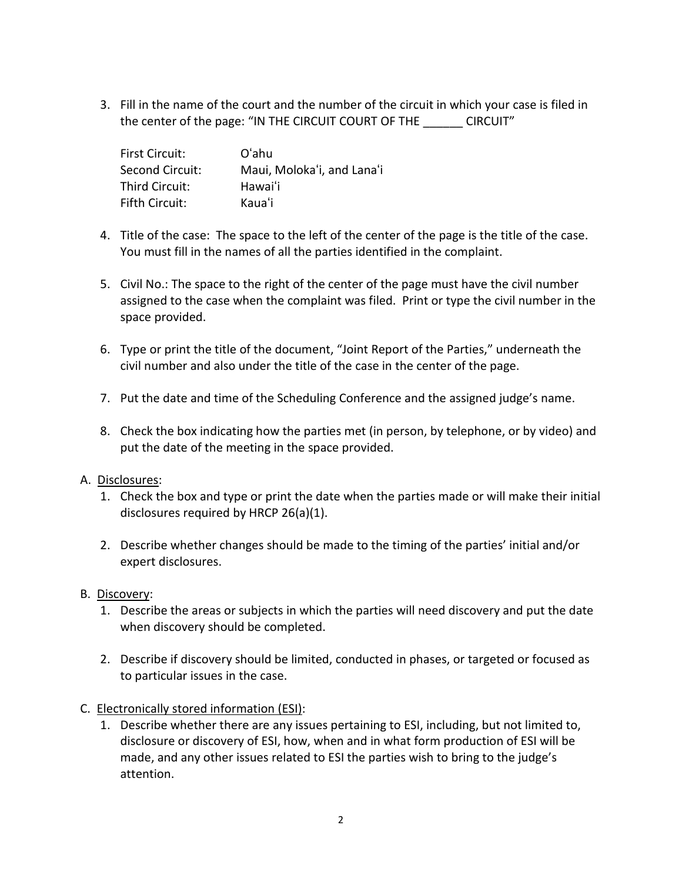3. Fill in the name of the court and the number of the circuit in which your case is filed in the center of the page: "IN THE CIRCUIT COURT OF THE \_\_\_\_\_\_ CIRCUIT"

| <b>First Circuit:</b> | Oʻahu                      |
|-----------------------|----------------------------|
| Second Circuit:       | Maui, Moloka'i, and Lana'i |
| Third Circuit:        | Hawai'i                    |
| Fifth Circuit:        | Kaua'i                     |

- 4. Title of the case: The space to the left of the center of the page is the title of the case. You must fill in the names of all the parties identified in the complaint.
- 5. Civil No.: The space to the right of the center of the page must have the civil number assigned to the case when the complaint was filed. Print or type the civil number in the space provided.
- 6. Type or print the title of the document, "Joint Report of the Parties," underneath the civil number and also under the title of the case in the center of the page.
- 7. Put the date and time of the Scheduling Conference and the assigned judge's name.
- 8. Check the box indicating how the parties met (in person, by telephone, or by video) and put the date of the meeting in the space provided.

#### A. Disclosures:

- 1. Check the box and type or print the date when the parties made or will make their initial disclosures required by HRCP 26(a)(1).
- 2. Describe whether changes should be made to the timing of the parties' initial and/or expert disclosures.
- B. Discovery:
	- 1. Describe the areas or subjects in which the parties will need discovery and put the date when discovery should be completed.
	- 2. Describe if discovery should be limited, conducted in phases, or targeted or focused as to particular issues in the case.
- C. Electronically stored information (ESI):
	- 1. Describe whether there are any issues pertaining to ESI, including, but not limited to, disclosure or discovery of ESI, how, when and in what form production of ESI will be made, and any other issues related to ESI the parties wish to bring to the judge's attention.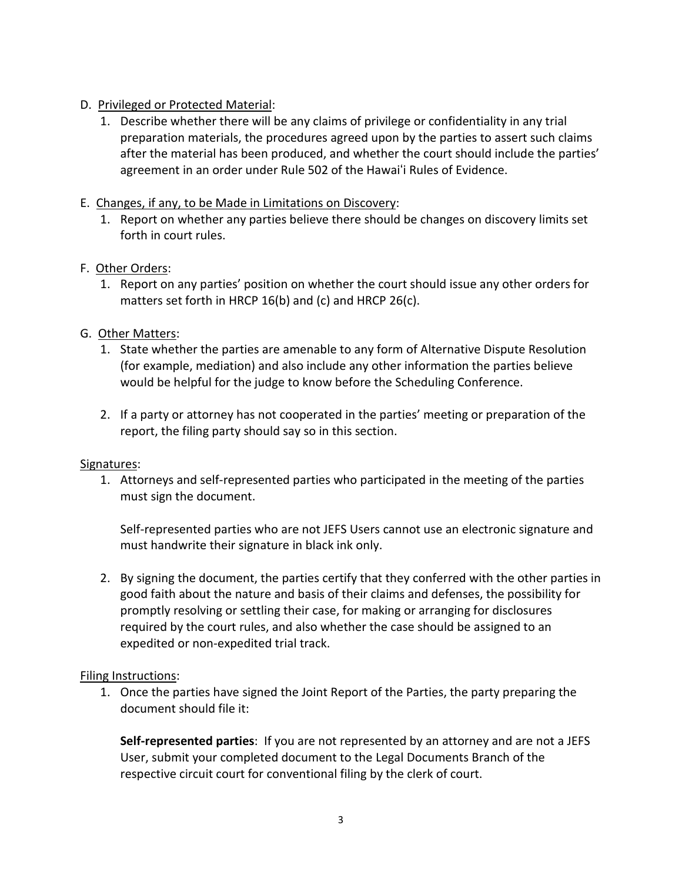## D. Privileged or Protected Material:

1. Describe whether there will be any claims of privilege or confidentiality in any trial preparation materials, the procedures agreed upon by the parties to assert such claims after the material has been produced, and whether the court should include the parties' agreement in an order under Rule 502 of the Hawaiʻi Rules of Evidence.

## E. Changes, if any, to be Made in Limitations on Discovery:

1. Report on whether any parties believe there should be changes on discovery limits set forth in court rules.

## F. Other Orders:

1. Report on any parties' position on whether the court should issue any other orders for matters set forth in HRCP 16(b) and (c) and HRCP 26(c).

# G. Other Matters:

- 1. State whether the parties are amenable to any form of Alternative Dispute Resolution (for example, mediation) and also include any other information the parties believe would be helpful for the judge to know before the Scheduling Conference.
- 2. If a party or attorney has not cooperated in the parties' meeting or preparation of the report, the filing party should say so in this section.

## Signatures:

1. Attorneys and self-represented parties who participated in the meeting of the parties must sign the document.

Self-represented parties who are not JEFS Users cannot use an electronic signature and must handwrite their signature in black ink only.

2. By signing the document, the parties certify that they conferred with the other parties in good faith about the nature and basis of their claims and defenses, the possibility for promptly resolving or settling their case, for making or arranging for disclosures required by the court rules, and also whether the case should be assigned to an expedited or non-expedited trial track.

## Filing Instructions:

1. Once the parties have signed the Joint Report of the Parties, the party preparing the document should file it:

**Self-represented parties**: If you are not represented by an attorney and are not a JEFS User, submit your completed document to the Legal Documents Branch of the respective circuit court for conventional filing by the clerk of court.